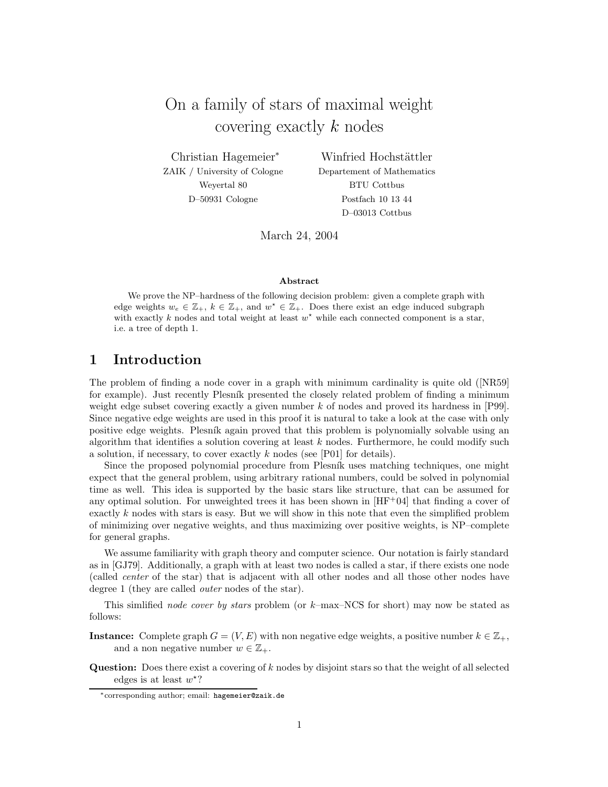On a family of stars of maximal weight covering exactly k nodes

Christian Hagemeier<sup>∗</sup> ZAIK / University of Cologne Weyertal 80 D–50931 Cologne

Winfried Hochstättler Departement of Mathematics BTU Cottbus Postfach 10 13 44 D–03013 Cottbus

March 24, 2004

#### **Abstract**

We prove the NP–hardness of the following decision problem: given a complete graph with edge weights  $w_e \in \mathbb{Z}_+, k \in \mathbb{Z}_+,$  and  $w^* \in \mathbb{Z}_+$ . Does there exist an edge induced subgraph with exactly k nodes and total weight at least  $w^*$  while each connected component is a star, i.e. a tree of depth 1.

## **1 Introduction**

The problem of finding a node cover in a graph with minimum cardinality is quite old ([NR59] for example). Just recently Plesn´ık presented the closely related problem of finding a minimum weight edge subset covering exactly a given number k of nodes and proved its hardness in [P99]. Since negative edge weights are used in this proof it is natural to take a look at the case with only positive edge weights. Plesník again proved that this problem is polynomially solvable using an algorithm that identifies a solution covering at least  $k$  nodes. Furthermore, he could modify such a solution, if necessary, to cover exactly  $k$  nodes (see [P01] for details).

Since the proposed polynomial procedure from Plesník uses matching techniques, one might expect that the general problem, using arbitrary rational numbers, could be solved in polynomial time as well. This idea is supported by the basic stars like structure, that can be assumed for any optimal solution. For unweighted trees it has been shown in  $[HF^+04]$  that finding a cover of exactly  $k$  nodes with stars is easy. But we will show in this note that even the simplified problem of minimizing over negative weights, and thus maximizing over positive weights, is NP–complete for general graphs.

We assume familiarity with graph theory and computer science. Our notation is fairly standard as in [GJ79]. Additionally, a graph with at least two nodes is called a star, if there exists one node (called *center* of the star) that is adjacent with all other nodes and all those other nodes have degree 1 (they are called *outer* nodes of the star).

This simlified *node cover by stars* problem (or k–max–NCS for short) may now be stated as follows:

**Instance:** Complete graph  $G = (V, E)$  with non negative edge weights, a positive number  $k \in \mathbb{Z}_+$ , and a non negative number  $w \in \mathbb{Z}_+$ .

**Question:** Does there exist a covering of k nodes by disjoint stars so that the weight of all selected edges is at least  $w^*$ ?

<sup>∗</sup>corresponding author; email: hagemeier@zaik.de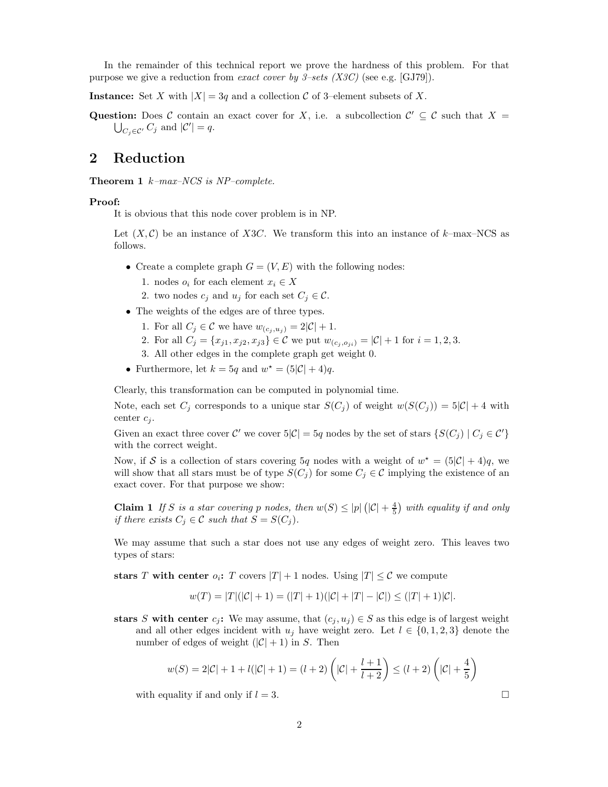In the remainder of this technical report we prove the hardness of this problem. For that purpose we give a reduction from *exact cover by 3–sets (X3C)* (see e.g. [GJ79]).

**Instance:** Set X with  $|X| = 3q$  and a collection C of 3–element subsets of X.

**Question:** Does C contain an exact cover for X, i.e. a subcollection  $C' \subseteq C$  such that  $X =$  $\bigcup_{C_j \in \mathcal{C}'} C_j$  and  $|\mathcal{C}'| = q$ .

## **2 Reduction**

**Theorem 1** k*–max–NCS is NP–complete.*

### **Proof:**

It is obvious that this node cover problem is in NP.

Let  $(X, \mathcal{C})$  be an instance of X3C. We transform this into an instance of k–max–NCS as follows.

- Create a complete graph  $G = (V, E)$  with the following nodes:
	- 1. nodes  $o_i$  for each element  $x_i \in X$
	- 2. two nodes  $c_j$  and  $u_j$  for each set  $C_j \in \mathcal{C}$ .
- The weights of the edges are of three types.
	- 1. For all  $C_j \in \mathcal{C}$  we have  $w_{(c_j, u_j)} = 2|\mathcal{C}| + 1$ .
	- 2. For all  $C_j = \{x_{j1}, x_{j2}, x_{j3}\} \in \mathcal{C}$  we put  $w_{(c_i, o_{ji})} = |\mathcal{C}| + 1$  for  $i = 1, 2, 3$ .
	- 3. All other edges in the complete graph get weight 0.
- Furthermore, let  $k = 5q$  and  $w^* = (5|\mathcal{C}| + 4)q$ .

Clearly, this transformation can be computed in polynomial time.

Note, each set  $C_j$  corresponds to a unique star  $S(C_j)$  of weight  $w(S(C_j)) = 5|\mathcal{C}| + 4$  with center  $c_i$ .

Given an exact three cover  $\mathcal{C}'$  we cover  $5|\mathcal{C}| = 5q$  nodes by the set of stars  $\{S(C_j) | C_j \in \mathcal{C}'\}$ with the correct weight.

Now, if S is a collection of stars covering 5q nodes with a weight of  $w^* = (5|\mathcal{C}| + 4)q$ , we will show that all stars must be of type  $S(C_j)$  for some  $C_j \in \mathcal{C}$  implying the existence of an exact cover. For that purpose we show:

**Claim 1** If S is a star covering p nodes, then  $w(S) \le |p| \left( |C| + \frac{4}{5} \right)$  with equality if and only *if there exists*  $C_j \in \mathcal{C}$  *such that*  $S = S(C_j)$ *.* 

We may assume that such a star does not use any edges of weight zero. This leaves two types of stars:

**stars** T with center  $o_i$ : T covers  $|T| + 1$  nodes. Using  $|T| \leq C$  we compute

$$
w(T) = |T|(|\mathcal{C}| + 1) = (|T| + 1)(|\mathcal{C}| + |T| - |\mathcal{C}|) \le (|T| + 1)|\mathcal{C}|.
$$

**stars** S with center  $c_j$ : We may assume, that  $(c_j, u_j) \in S$  as this edge is of largest weight and all other edges incident with  $u_j$  have weight zero. Let  $l \in \{0, 1, 2, 3\}$  denote the number of edges of weight  $(|\mathcal{C}| + 1)$  in S. Then

$$
w(S) = 2|\mathcal{C}| + 1 + l(|\mathcal{C}| + 1) = (l+2)\left(|\mathcal{C}| + \frac{l+1}{l+2}\right) \leq (l+2)\left(|\mathcal{C}| + \frac{4}{5}\right)
$$

with equality if and only if  $l = 3$ .

2